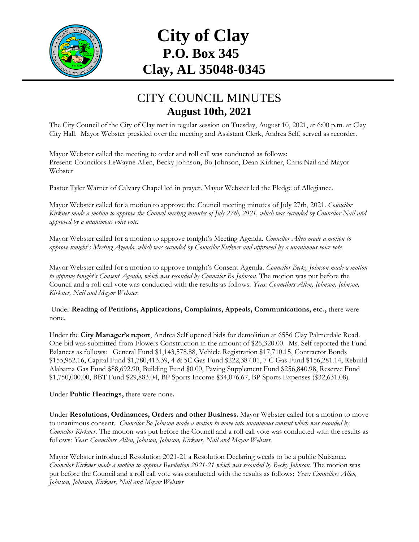

## **City of Clay P.O. Box 345 Clay, AL 35048-0345**

## CITY COUNCIL MINUTES **August 10th, 2021**

The City Council of the City of Clay met in regular session on Tuesday, August 10, 2021, at 6:00 p.m. at Clay City Hall. Mayor Webster presided over the meeting and Assistant Clerk, Andrea Self, served as recorder.

Mayor Webster called the meeting to order and roll call was conducted as follows: Present: Councilors LeWayne Allen, Becky Johnson, Bo Johnson, Dean Kirkner, Chris Nail and Mayor Webster

Pastor Tyler Warner of Calvary Chapel led in prayer. Mayor Webster led the Pledge of Allegiance.

Mayor Webster called for a motion to approve the Council meeting minutes of July 27th, 2021. *Councilor Kirkner made a motion to approve the Council meeting minutes of July 27th, 2021, which was seconded by Councilor Nail and approved by a unanimous voice vote.*

Mayor Webster called for a motion to approve tonight's Meeting Agenda. *Councilor Allen made a motion to approve tonight's Meeting Agenda, which was seconded by Councilor Kirkner and approved by a unanimous voice vote.*

Mayor Webster called for a motion to approve tonight's Consent Agenda. *Councilor Becky Johnson made a motion to approve tonight's Consent Agenda, which was seconded by Councilor Bo Johnson.* The motion was put before the Council and a roll call vote was conducted with the results as follows: *Yeas: Councilors Allen, Johnson, Johnson, Kirkner, Nail and Mayor Webster.*

Under **Reading of Petitions, Applications, Complaints, Appeals, Communications, etc.,** there were none*.*

Under the **City Manager's report**, Andrea Self opened bids for demolition at 6556 Clay Palmerdale Road. One bid was submitted from Flowers Construction in the amount of \$26,320.00. Ms. Self reported the Fund Balances as follows: General Fund \$1,143,578.88, Vehicle Registration \$17,710.15, Contractor Bonds \$155,962.16, Capital Fund \$1,780,413.39, 4 & 5C Gas Fund \$222,387.01, 7 C Gas Fund \$156,281.14, Rebuild Alabama Gas Fund \$88,692.90, Building Fund \$0.00, Paving Supplement Fund \$256,840.98, Reserve Fund \$1,750,000.00, BBT Fund \$29,883.04, BP Sports Income \$34,076.67, BP Sports Expenses (\$32,631.08).

Under **Public Hearings,** there were none**.**

Under **Resolutions, Ordinances, Orders and other Business.** Mayor Webster called for a motion to move to unanimous consent. *Councilor Bo Johnson made a motion to move into unanimous consent which was seconded by Councilor Kirkner*. The motion was put before the Council and a roll call vote was conducted with the results as follows: *Yeas: Councilors Allen, Johnson, Johnson, Kirkner, Nail and Mayor Webster.*

Mayor Webster introduced Resolution 2021-21 a Resolution Declaring weeds to be a public Nuisance. *Councilor Kirkner made a motion to approve Resolution 2021-21 which was seconded by Becky Johnson.* The motion was put before the Council and a roll call vote was conducted with the results as follows: *Yeas: Councilors Allen, Johnson, Johnson, Kirkner, Nail and Mayor Webster*